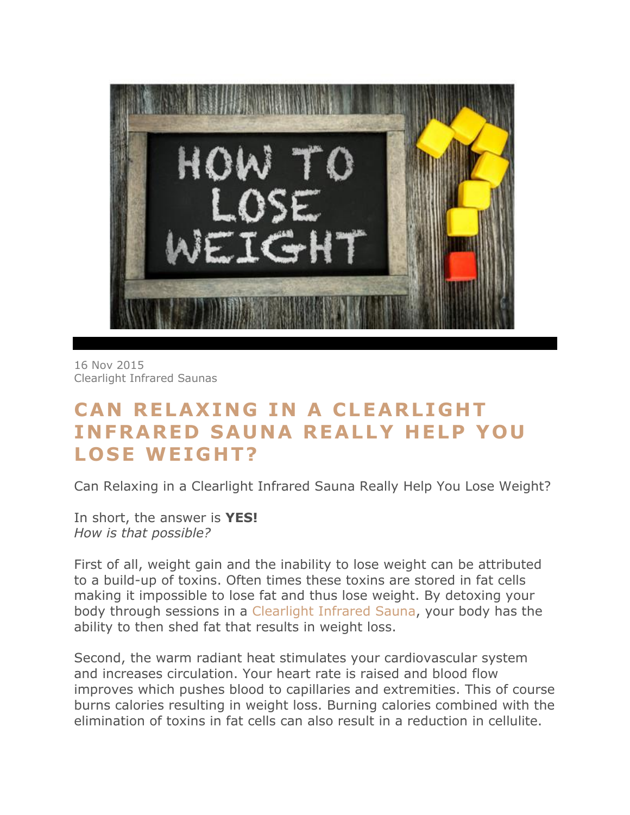

16 Nov [2015](http://infraredsauna.com/blog/2015/11/16/) [Clearlight](http://infraredsauna.com/blog/author/clearlight-infrared/) Infrared Saunas

## **CAN RELAXING IN A CLEARLIGHT INFRARED SAUNA REALLY HELP YOU** LOSE WEIGHT?

Can Relaxing in a Clearlight Infrared Sauna Really Help You Lose Weight?

In short, the answer is **YES!** *How is that possible?*

First of all, weight gain and the inability to lose weight can be attributed to a build-up of toxins. Often times these toxins are stored in fat cells making it impossible to lose fat and thus lose weight. By detoxing your body through sessions in a [Clearlight](http://www.infraredsauna.com/) Infrared Sauna, your body has the ability to then shed fat that results in weight loss.

Second, the warm radiant heat stimulates your cardiovascular system and increases circulation. Your heart rate is raised and blood flow improves which pushes blood to capillaries and extremities. This of course burns calories resulting in weight loss. Burning calories combined with the elimination of toxins in fat cells can also result in a reduction in cellulite.